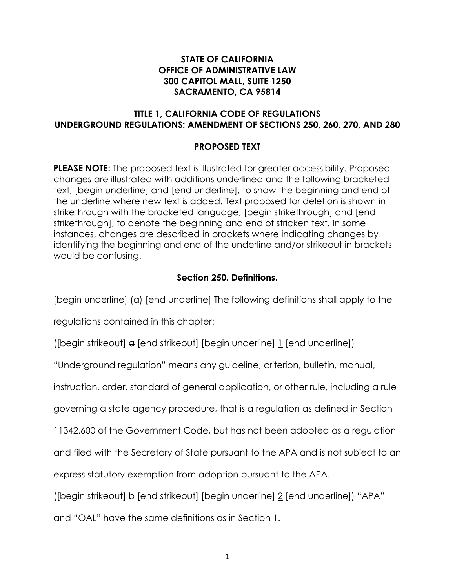## **STATE OF CALIFORNIA OFFICE OF ADMINISTRATIVE LAW 300 CAPITOL MALL, SUITE 1250 SACRAMENTO, CA 95814**

# **TITLE 1, CALIFORNIA CODE OF REGULATIONS UNDERGROUND REGULATIONS: AMENDMENT OF SECTIONS 250, 260, 270, AND 280**

# **PROPOSED TEXT**

**PLEASE NOTE:** The proposed text is illustrated for greater accessibility. Proposed changes are illustrated with additions underlined and the following bracketed text, [begin underline] and [end underline], to show the beginning and end of the underline where new text is added. Text proposed for deletion is shown in strikethrough with the bracketed language, [begin strikethrough] and [end strikethrough], to denote the beginning and end of stricken text. In some instances, changes are described in brackets where indicating changes by identifying the beginning and end of the underline and/or strikeout in brackets would be confusing.

# **Section 250. Definitions.**

[begin underline] (a) [end underline] The following definitions shall apply to the

regulations contained in this chapter:

([begin strikeout] a [end strikeout] [begin underline] 1 [end underline])

"Underground regulation" means any guideline, criterion, bulletin, manual,

instruction, order, standard of general application, or other rule, including a rule

governing a state agency procedure, that is a regulation as defined in Section

11342.600 of the Government Code, but has not been adopted as a regulation

and filed with the Secretary of State pursuant to the APA and is not subject to an

express statutory exemption from adoption pursuant to the APA.

([begin strikeout]  $\leftrightarrow$  [end strikeout] [begin underline]  $2$  [end underline]) "APA"

and "OAL" have the same definitions as in Section 1.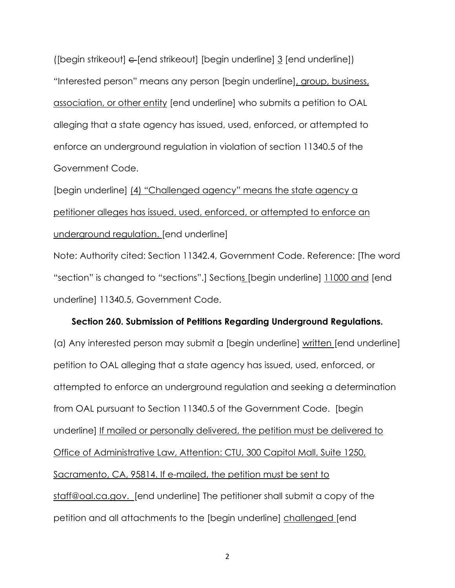([begin strikeout]  $\epsilon$  [end strikeout] [begin underline]  $\frac{3}{2}$  [end underline]) "Interested person" means any person [begin underline], group, business, association, or other entity [end underline] who submits a petition to OAL alleging that a state agency has issued, used, enforced, or attempted to enforce an underground regulation in violation of section 11340.5 of the Government Code.

[begin underline] (4) "Challenged agency" means the state agency a petitioner alleges has issued, used, enforced, or attempted to enforce an underground regulation. [end underline]

Note: Authority cited: Section 11342.4, Government Code. Reference: [The word "section" is changed to "sections".] Sections [begin underline] 11000 and [end underline] 11340.5, Government Code.

#### **Section 260. Submission of Petitions Regarding Underground Regulations.**

(a) Any interested person may submit a [begin underline] written [end underline] petition to OAL alleging that a state agency has issued, used, enforced, or attempted to enforce an underground regulation and seeking a determination from OAL pursuant to Section 11340.5 of the Government Code. [begin underline] If mailed or personally delivered, the petition must be delivered to Office of Administrative Law, Attention: CTU, 300 Capitol Mall, Suite 1250, Sacramento, CA, 95814. If e-mailed, the petition must be sent to [staff@oal.ca.gov.](mailto:staff@oal.ca.gov) [end underline] The petitioner shall submit a copy of the petition and all attachments to the [begin underline] challenged [end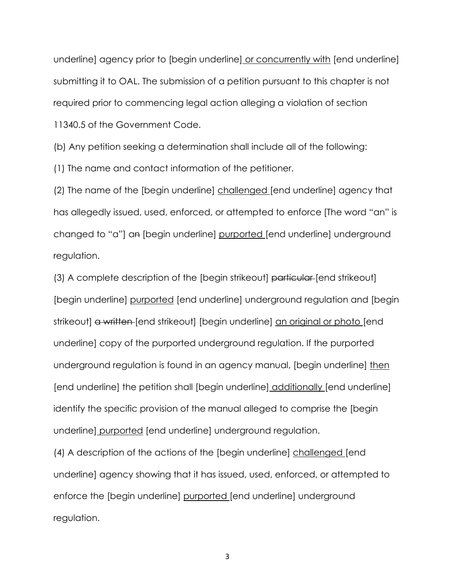underline] agency prior to [begin underline] or concurrently with [end underline] submitting it to OAL. The submission of a petition pursuant to this chapter is not required prior to commencing legal action alleging a violation of section 11340.5 of the Government Code.

(b) Any petition seeking a determination shall include all of the following:

(1) The name and contact information of the petitioner.

(2) The name of the [begin underline] challenged [end underline] agency that has allegedly issued, used, enforced, or attempted to enforce [The word "an" is changed to "a"] an [begin underline] purported [end underline] underground regulation.

(3) A complete description of the [begin strikeout] particular [end strikeout] [begin underline] purported [end underline] underground regulation and [begin strikeout] a written [end strikeout] [begin underline] an original or photo [end underline] copy of the purported underground regulation. If the purported underground regulation is found in an agency manual, [begin underline] then [end underline] the petition shall [begin underline] additionally [end underline] identify the specific provision of the manual alleged to comprise the [begin underline] purported [end underline] underground regulation.

(4) A description of the actions of the [begin underline] challenged [end underline] agency showing that it has issued, used, enforced, or attempted to enforce the [begin underline] purported [end underline] underground regulation.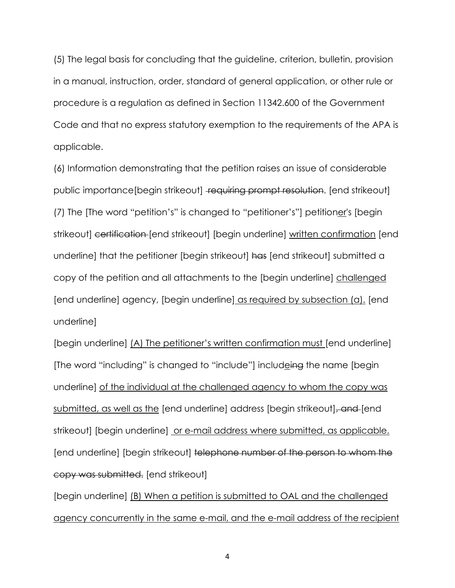(5) The legal basis for concluding that the guideline, criterion, bulletin, provision in a manual, instruction, order, standard of general application, or other rule or procedure is a regulation as defined in Section 11342.600 of the Government Code and that no express statutory exemption to the requirements of the APA is applicable.

(6) Information demonstrating that the petition raises an issue of considerable public importance[begin strikeout] requiring prompt resolution. [end strikeout] (7) The [The word "petition's" is changed to "petitioner's"] petitioner's [begin strikeout] certification [end strikeout] [begin underline] written confirmation [end underline] that the petitioner [begin strikeout] has [end strikeout] submitted a copy of the petition and all attachments to the [begin underline] challenged [end underline] agency, [begin underline] as required by subsection (a). [end underline]

[begin underline] (A) The petitioner's written confirmation must [end underline] [The word "including" is changed to "include"] includeing the name [begin underline] of the individual at the challenged agency to whom the copy was submitted, as well as the [end underline] address [begin strikeout], and [end strikeout] [begin underline] or e-mail address where submitted, as applicable. [end underline] [begin strikeout] telephone number of the person to whom the copy was submitted. [end strikeout]

[begin underline] (B) When a petition is submitted to OAL and the challenged agency concurrently in the same e-mail, and the e-mail address of the recipient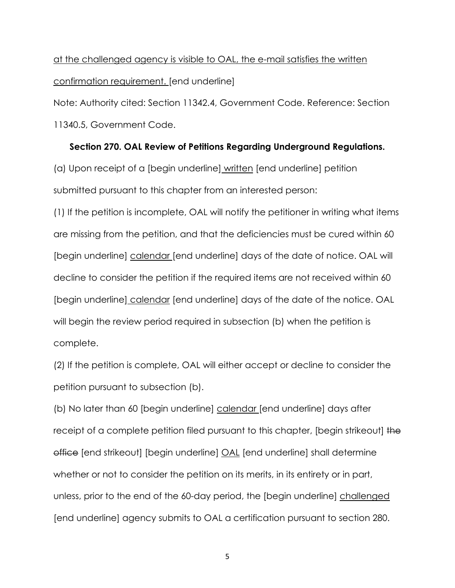at the challenged agency is visible to OAL, the e-mail satisfies the written confirmation requirement. [end underline]

Note: Authority cited: Section 11342.4, Government Code. Reference: Section 11340.5, Government Code.

### **Section 270. OAL Review of Petitions Regarding Underground Regulations.**

(a) Upon receipt of a [begin underline] written [end underline] petition submitted pursuant to this chapter from an interested person:

(1) If the petition is incomplete, OAL will notify the petitioner in writing what items are missing from the petition, and that the deficiencies must be cured within 60 [begin underline] calendar [end underline] days of the date of notice. OAL will decline to consider the petition if the required items are not received within 60 [begin underline] calendar [end underline] days of the date of the notice. OAL will begin the review period required in subsection (b) when the petition is complete.

(2) If the petition is complete, OAL will either accept or decline to consider the petition pursuant to subsection (b).

(b) No later than 60 [begin underline] calendar [end underline] days after receipt of a complete petition filed pursuant to this chapter, [begin strikeout] the office [end strikeout] [begin underline] OAL [end underline] shall determine whether or not to consider the petition on its merits, in its entirety or in part, unless, prior to the end of the 60-day period, the [begin underline] challenged [end underline] agency submits to OAL a certification pursuant to section 280.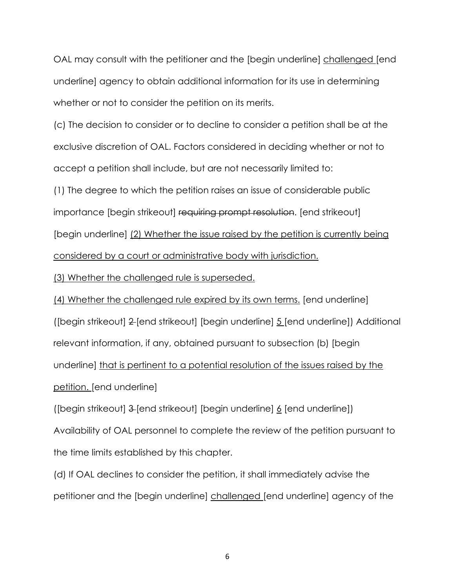OAL may consult with the petitioner and the [begin underline] challenged [end underline] agency to obtain additional information for its use in determining whether or not to consider the petition on its merits.

(c) The decision to consider or to decline to consider a petition shall be at the exclusive discretion of OAL. Factors considered in deciding whether or not to accept a petition shall include, but are not necessarily limited to:

(1) The degree to which the petition raises an issue of considerable public importance [begin strikeout] requiring prompt resolution. [end strikeout] [begin underline] (2) Whether the issue raised by the petition is currently being considered by a court or administrative body with jurisdiction.

(3) Whether the challenged rule is superseded.

(4) Whether the challenged rule expired by its own terms. [end underline] ([begin strikeout] 2 [end strikeout] [begin underline] 5 [end underline]) Additional relevant information, if any, obtained pursuant to subsection (b) [begin underline] that is pertinent to a potential resolution of the issues raised by the petition. [end underline]

([begin strikeout] 3 [end strikeout] [begin underline] 6 [end underline]) Availability of OAL personnel to complete the review of the petition pursuant to the time limits established by this chapter.

(d) If OAL declines to consider the petition, it shall immediately advise the petitioner and the [begin underline] challenged [end underline] agency of the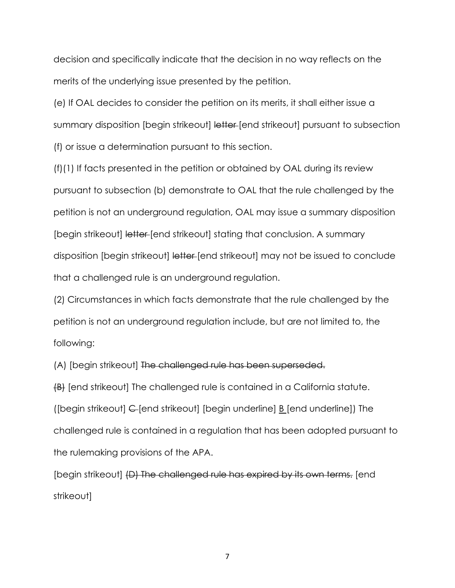decision and specifically indicate that the decision in no way reflects on the merits of the underlying issue presented by the petition.

(e) If OAL decides to consider the petition on its merits, it shall either issue a summary disposition [begin strikeout] letter [end strikeout] pursuant to subsection (f) or issue a determination pursuant to this section.

(f)(1) If facts presented in the petition or obtained by OAL during its review pursuant to subsection (b) demonstrate to OAL that the rule challenged by the petition is not an underground regulation, OAL may issue a summary disposition [begin strikeout] letter [end strikeout] stating that conclusion. A summary disposition [begin strikeout] letter [end strikeout] may not be issued to conclude that a challenged rule is an underground regulation.

(2) Circumstances in which facts demonstrate that the rule challenged by the petition is not an underground regulation include, but are not limited to, the following:

(A) [begin strikeout] The challenged rule has been superseded.

(B) [end strikeout] The challenged rule is contained in a California statute. ([begin strikeout] C [end strikeout] [begin underline] B [end underline]) The challenged rule is contained in a regulation that has been adopted pursuant to the rulemaking provisions of the APA.

[begin strikeout] (D) The challenged rule has expired by its own terms. [end strikeout]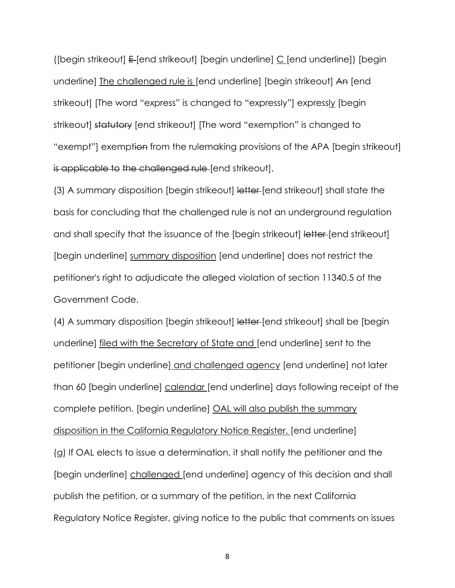([begin strikeout]  $E$  [end strikeout] [begin underline]  $C$  [end underline]) [begin underline] The challenged rule is [end underline] [begin strikeout] An [end strikeout] [The word "express" is changed to "expressly"] expressly [begin strikeout] statutory [end strikeout] [The word "exemption" is changed to "exempt"] exemption from the rulemaking provisions of the APA [begin strikeout] is applicable to the challenged rule [end strikeout].

(3) A summary disposition [begin strikeout] letter [end strikeout] shall state the basis for concluding that the challenged rule is not an underground regulation and shall specify that the issuance of the [begin strikeout] letter [end strikeout] [begin underline] summary disposition [end underline] does not restrict the petitioner's right to adjudicate the alleged violation of section 11340.5 of the Government Code.

(4) A summary disposition [begin strikeout] letter [end strikeout] shall be [begin underline] filed with the Secretary of State and [end underline] sent to the petitioner [begin underline] and challenged agency [end underline] not later than 60 [begin underline] calendar [end underline] days following receipt of the complete petition. [begin underline] OAL will also publish the summary disposition in the California Regulatory Notice Register. [end underline] (g) If OAL elects to issue a determination, it shall notify the petitioner and the [begin underline] challenged [end underline] agency of this decision and shall publish the petition, or a summary of the petition, in the next California Regulatory Notice Register, giving notice to the public that comments on issues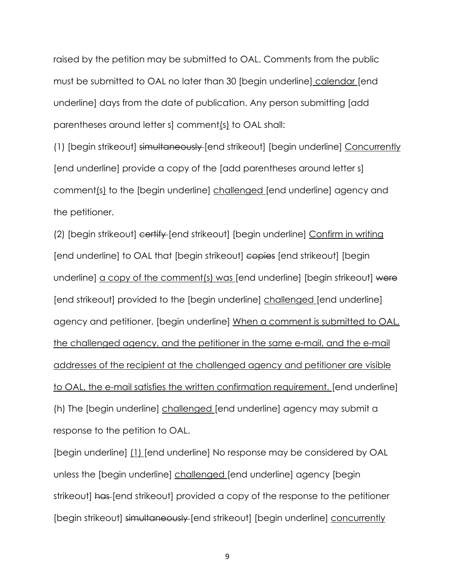raised by the petition may be submitted to OAL. Comments from the public must be submitted to OAL no later than 30 [begin underline] calendar [end underline] days from the date of publication. Any person submitting [add parentheses around letter s] comment(s) to OAL shall:

(1) [begin strikeout] simultaneously [end strikeout] [begin underline] Concurrently [end underline] provide a copy of the [add parentheses around letter s] comment(s) to the [begin underline] challenged [end underline] agency and the petitioner.

(2) [begin strikeout] certify [end strikeout] [begin underline] Confirm in writing [end underline] to OAL that [begin strikeout] copies [end strikeout] [begin underline] a copy of the comment(s) was [end underline] [begin strikeout] were [end strikeout] provided to the [begin underline] challenged [end underline] agency and petitioner. [begin underline] When a comment is submitted to OAL, the challenged agency, and the petitioner in the same e-mail, and the e-mail addresses of the recipient at the challenged agency and petitioner are visible to OAL, the e-mail satisfies the written confirmation requirement. [end underline] (h) The [begin underline] challenged [end underline] agency may submit a response to the petition to OAL.

[begin underline] (1) [end underline] No response may be considered by OAL unless the [begin underline] challenged [end underline] agency [begin strikeout] has [end strikeout] provided a copy of the response to the petitioner [begin strikeout] simultaneously [end strikeout] [begin underline] concurrently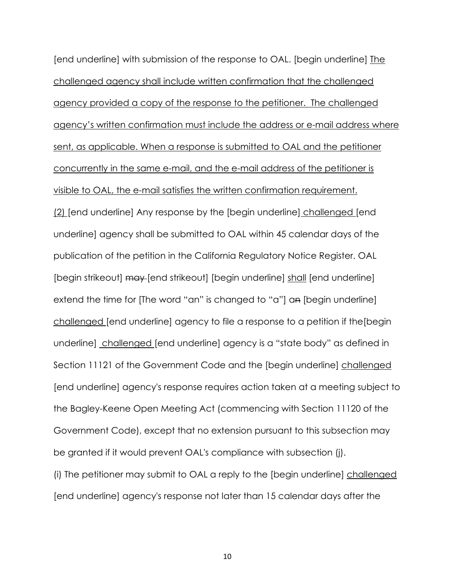[end underline] with submission of the response to OAL. [begin underline] The challenged agency shall include written confirmation that the challenged agency provided a copy of the response to the petitioner. The challenged agency's written confirmation must include the address or e-mail address where sent, as applicable. When a response is submitted to OAL and the petitioner concurrently in the same e-mail, and the e-mail address of the petitioner is visible to OAL, the e-mail satisfies the written confirmation requirement. (2) [end underline] Any response by the [begin underline] challenged [end underline] agency shall be submitted to OAL within 45 calendar days of the publication of the petition in the California Regulatory Notice Register. OAL [begin strikeout] may [end strikeout] [begin underline] shall [end underline] extend the time for [The word "an" is changed to "a"] an [begin underline] challenged [end underline] agency to file a response to a petition if the[begin underline] challenged [end underline] agency is a "state body" as defined in Section 11121 of the Government Code and the [begin underline] challenged [end underline] agency's response requires action taken at a meeting subject to the Bagley-Keene Open Meeting Act (commencing with Section 11120 of the Government Code), except that no extension pursuant to this subsection may be granted if it would prevent OAL's compliance with subsection (j). (i) The petitioner may submit to OAL a reply to the [begin underline] challenged [end underline] agency's response not later than 15 calendar days after the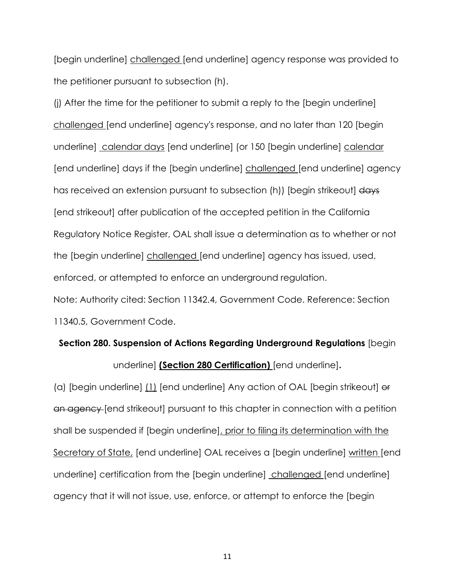[begin underline] challenged [end underline] agency response was provided to the petitioner pursuant to subsection (h).

(j) After the time for the petitioner to submit a reply to the [begin underline] challenged [end underline] agency's response, and no later than 120 [begin underline] calendar days [end underline] (or 150 [begin underline] calendar [end underline] days if the [begin underline] challenged [end underline] agency has received an extension pursuant to subsection (h)) [begin strikeout] days [end strikeout] after publication of the accepted petition in the California Regulatory Notice Register, OAL shall issue a determination as to whether or not the [begin underline] challenged [end underline] agency has issued, used, enforced, or attempted to enforce an underground regulation. Note: Authority cited: Section 11342.4, Government Code. Reference: Section 11340.5, Government Code.

# **Section 280. Suspension of Actions Regarding Underground Regulations** [begi n underline] **(Section 280 Certification)** [end underline]**.**

(a) [begin underline] (1) [end underline] Any action of OAL [begin strikeout] or an agency [end strikeout] pursuant to this chapter in connection with a petition shall be suspended if [begin underline], prior to filing its determination with the Secretary of State, [end underline] OAL receives a [begin underline] written [end underline] certification from the [begin underline] challenged [end underline] agency that it will not issue, use, enforce, or attempt to enforce the [begin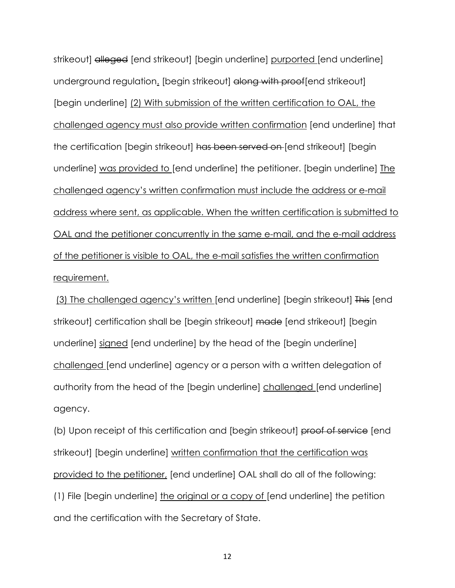strikeout] alleged [end strikeout] [begin underline] purported [end underline] underground regulation. [begin strikeout] along with proof[end strikeout] [begin underline] (2) With submission of the written certification to OAL, the challenged agency must also provide written confirmation [end underline] that the certification [begin strikeout] has been served on [end strikeout] [begin underline] was provided to [end underline] the petitioner. [begin underline] The challenged agency's written confirmation must include the address or e-mail address where sent, as applicable. When the written certification is submitted to OAL and the petitioner concurrently in the same e-mail, and the e-mail address of the petitioner is visible to OAL, the e-mail satisfies the written confirmation requirement.

(3) The challenged agency's written [end underline] [begin strikeout] This [end strikeout] certification shall be [begin strikeout] made [end strikeout] [begin underline] signed [end underline] by the head of the [begin underline] challenged [end underline] agency or a person with a written delegation of authority from the head of the [begin underline] challenged [end underline] agency.

(b) Upon receipt of this certification and [begin strikeout] proof of service [end strikeout] [begin underline] written confirmation that the certification was provided to the petitioner, [end underline] OAL shall do all of the following: (1) File [begin underline] the original or a copy of [end underline] the petition and the certification with the Secretary of State.